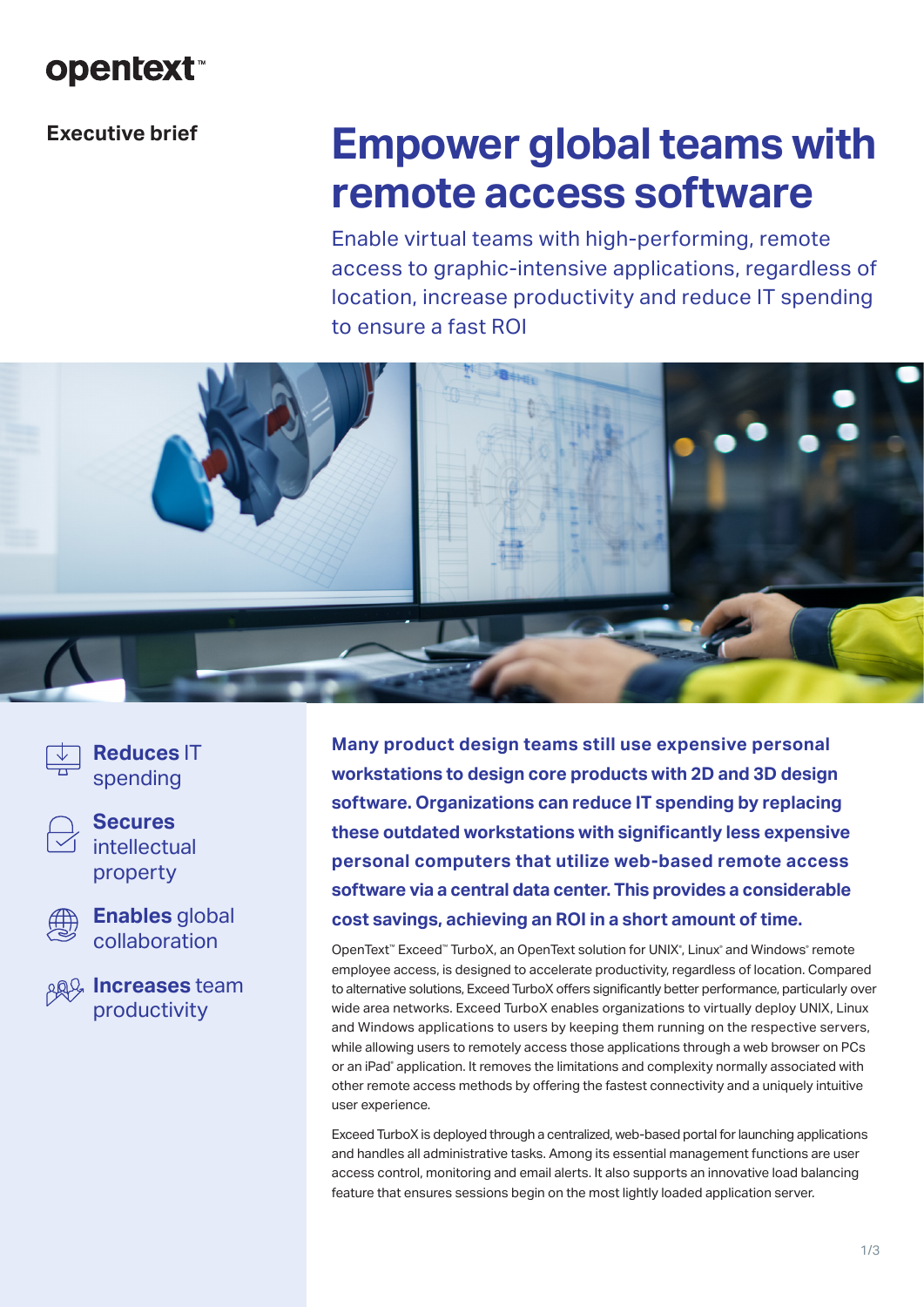# **opentext™**

# **Executive brief**

# **Empower global teams with remote access software**

Enable virtual teams with high-performing, remote access to graphic-intensive applications, regardless of location, increase productivity and reduce IT spending to ensure a fast ROI



**Reduces** IT spending



**Secures**  intellectual property



**Enables** global collaboration

**Increases** team productivity

**Many product design teams still use expensive personal workstations to design core products with 2D and 3D design software. Organizations can reduce IT spending by replacing these outdated workstations with significantly less expensive personal computers that utilize web-based remote access software via a central data center. This provides a considerable cost savings, achieving an ROI in a short amount of time.**

OpenText® Exceed® TurboX, an OpenText solution for UNIX®, Linux® and Windows® remote employee access, is designed to accelerate productivity, regardless of location. Compared to alternative solutions, Exceed TurboX offers significantly better performance, particularly over wide area networks. Exceed TurboX enables organizations to virtually deploy UNIX, Linux and Windows applications to users by keeping them running on the respective servers, while allowing users to remotely access those applications through a web browser on PCs or an iPad® application. It removes the limitations and complexity normally associated with other remote access methods by offering the fastest connectivity and a uniquely intuitive user experience.

Exceed TurboX is deployed through a centralized, web-based portal for launching applications and handles all administrative tasks. Among its essential management functions are user access control, monitoring and email alerts. It also supports an innovative load balancing feature that ensures sessions begin on the most lightly loaded application server.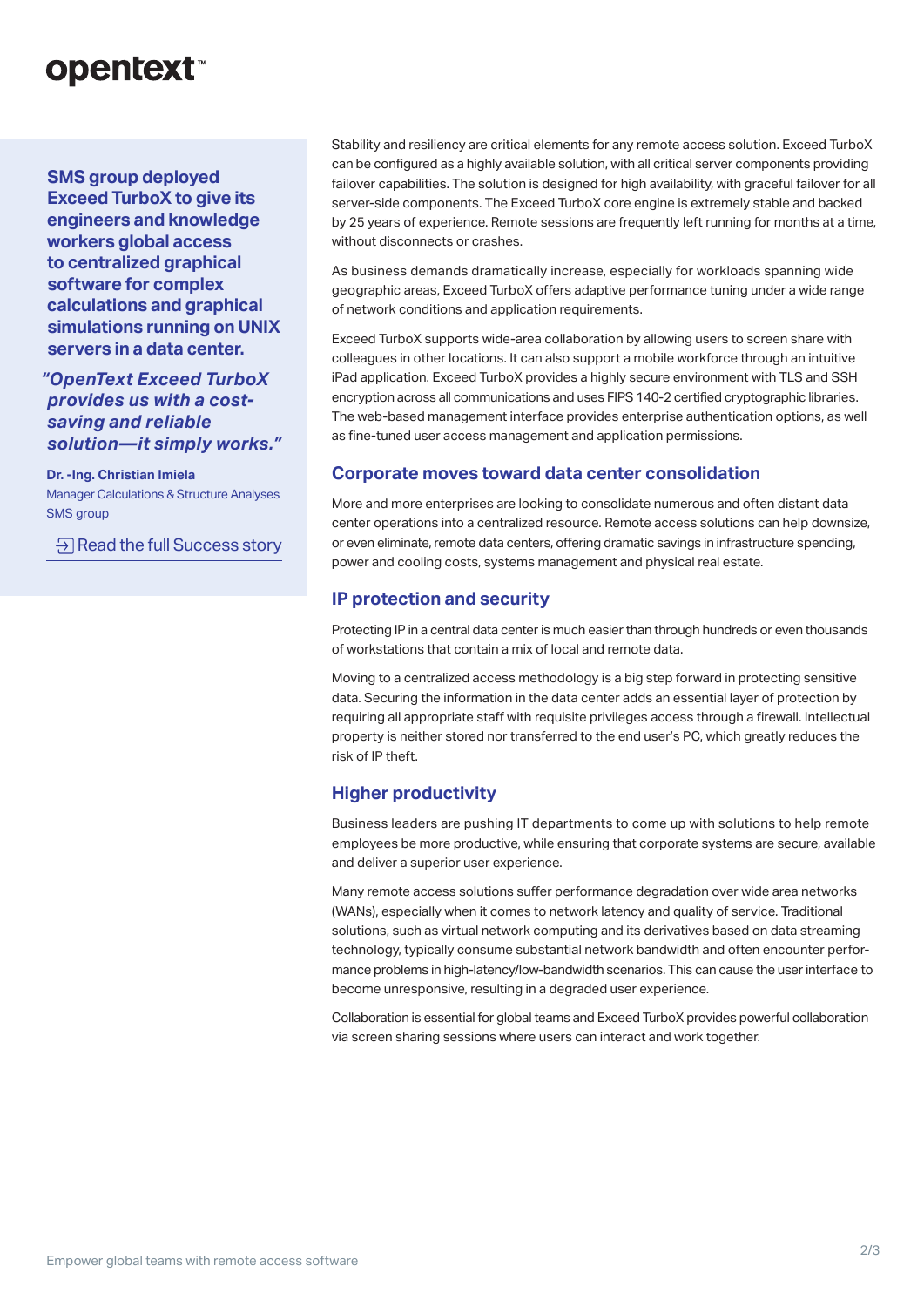# **opentext™**

**SMS group deployed Exceed TurboX to give its engineers and knowledge workers global access to centralized graphical software for complex calculations and graphical simulations running on UNIX servers in a data center.** 

*"OpenText Exceed TurboX provides us with a costsaving and reliable solution—it simply works."*

**Dr. -Ing. Christian Imiela** Manager Calculations & Structure Analyses SMS group

 $\Theta$  [Read the full Success story](https://www.opentext.com/customer-stories/customer-story-detail?id=1418)

Stability and resiliency are critical elements for any remote access solution. Exceed TurboX can be configured as a highly available solution, with all critical server components providing failover capabilities. The solution is designed for high availability, with graceful failover for all server-side components. The Exceed TurboX core engine is extremely stable and backed by 25 years of experience. Remote sessions are frequently left running for months at a time, without disconnects or crashes.

As business demands dramatically increase, especially for workloads spanning wide geographic areas, Exceed TurboX offers adaptive performance tuning under a wide range of network conditions and application requirements.

Exceed TurboX supports wide-area collaboration by allowing users to screen share with colleagues in other locations. It can also support a mobile workforce through an intuitive iPad application. Exceed TurboX provides a highly secure environment with TLS and SSH encryption across all communications and uses FIPS 140-2 certified cryptographic libraries. The web-based management interface provides enterprise authentication options, as well as fine-tuned user access management and application permissions.

## **Corporate moves toward data center consolidation**

More and more enterprises are looking to consolidate numerous and often distant data center operations into a centralized resource. Remote access solutions can help downsize, or even eliminate, remote data centers, offering dramatic savings in infrastructure spending, power and cooling costs, systems management and physical real estate.

### **IP protection and security**

Protecting IP in a central data center is much easier than through hundreds or even thousands of workstations that contain a mix of local and remote data.

Moving to a centralized access methodology is a big step forward in protecting sensitive data. Securing the information in the data center adds an essential layer of protection by requiring all appropriate staff with requisite privileges access through a firewall. Intellectual property is neither stored nor transferred to the end user's PC, which greatly reduces the risk of IP theft.

# **Higher productivity**

Business leaders are pushing IT departments to come up with solutions to help remote employees be more productive, while ensuring that corporate systems are secure, available and deliver a superior user experience.

Many remote access solutions suffer performance degradation over wide area networks (WANs), especially when it comes to network latency and quality of service. Traditional solutions, such as virtual network computing and its derivatives based on data streaming technology, typically consume substantial network bandwidth and often encounter performance problems in high-latency/low-bandwidth scenarios. This can cause the user interface to become unresponsive, resulting in a degraded user experience.

Collaboration is essential for global teams and Exceed TurboX provides powerful collaboration via screen sharing sessions where users can interact and work together.